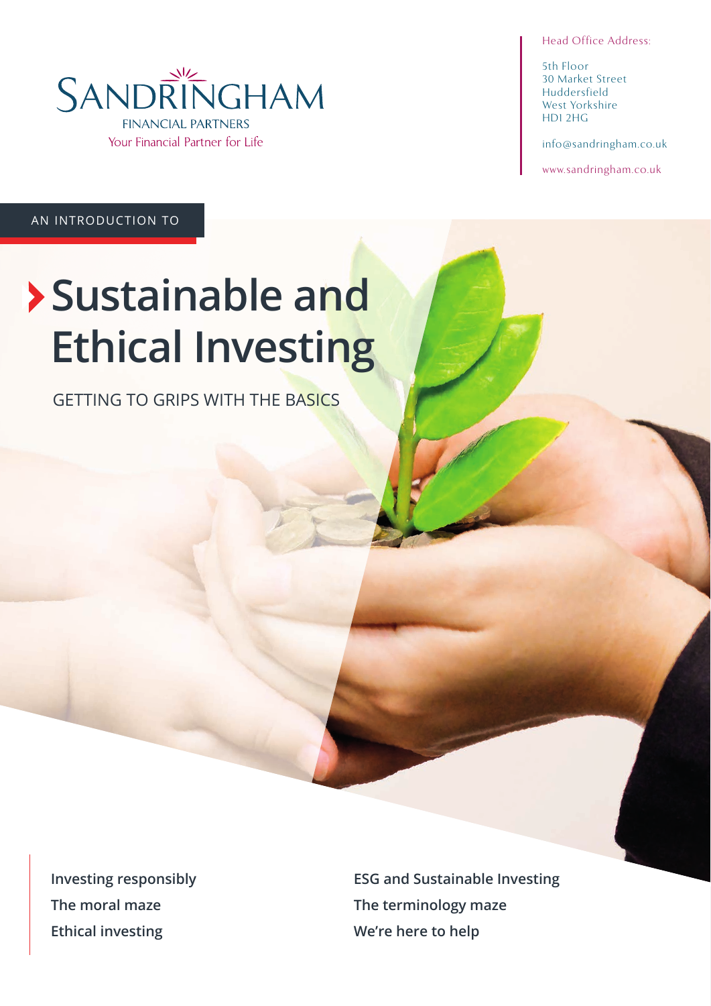Head Office Address:

5th Floor 30 Market Street Huddersfield West Yorkshire HD1 2HG

info@sandringham.co.uk

www.sandringham.co.uk

AN INTRODUCTION TO

# **Sustainable and Ethical Investing**

GETTING TO GRIPS WITH THE BASICS

**Investing responsibly The moral maze Ethical investing**

**ESG and Sustainable Investing The terminology maze We're here to help**

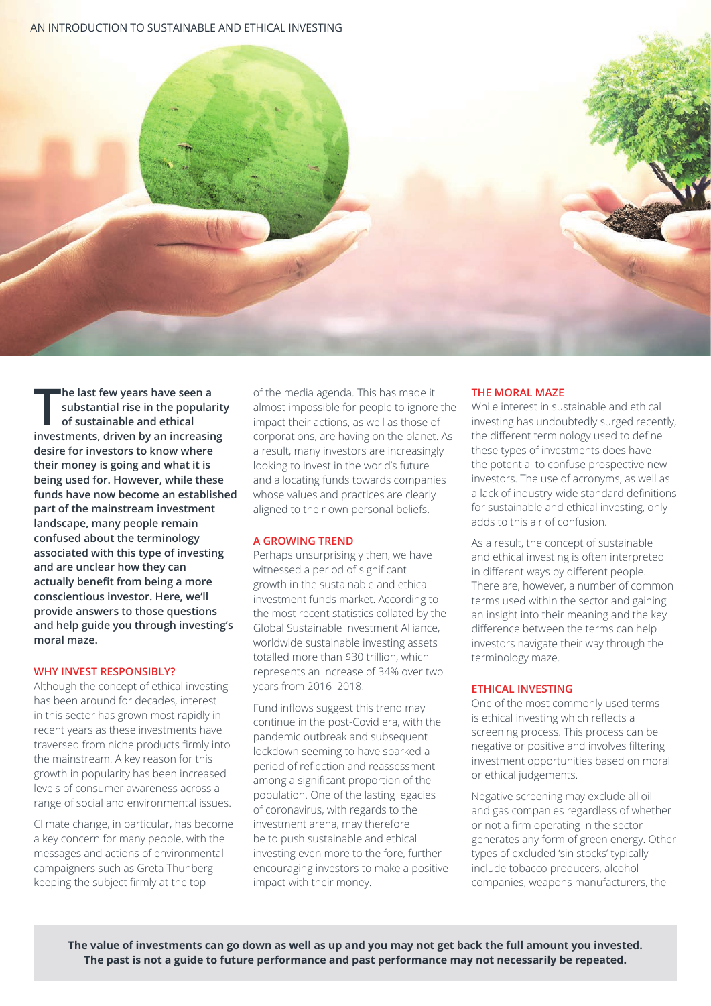

**The last few years have seen a**<br>
substantial rise in the popularity<br>
of sustainable and ethical<br>
investments, driven by an increasing **he last few years have seen a substantial rise in the popularity of sustainable and ethical desire for investors to know where their money is going and what it is being used for. However, while these funds have now become an established part of the mainstream investment landscape, many people remain confused about the terminology associated with this type of investing and are unclear how they can actually benefit from being a more conscientious investor. Here, we'll provide answers to those questions and help guide you through investing's moral maze.** 

# **WHY INVEST RESPONSIBLY?**

Although the concept of ethical investing has been around for decades, interest in this sector has grown most rapidly in recent years as these investments have traversed from niche products firmly into the mainstream. A key reason for this growth in popularity has been increased levels of consumer awareness across a range of social and environmental issues.

Climate change, in particular, has become a key concern for many people, with the messages and actions of environmental campaigners such as Greta Thunberg keeping the subject firmly at the top

of the media agenda. This has made it almost impossible for people to ignore the impact their actions, as well as those of corporations, are having on the planet. As a result, many investors are increasingly looking to invest in the world's future and allocating funds towards companies whose values and practices are clearly aligned to their own personal beliefs.

# **A GROWING TREND**

Perhaps unsurprisingly then, we have witnessed a period of significant growth in the sustainable and ethical investment funds market. According to the most recent statistics collated by the Global Sustainable Investment Alliance, worldwide sustainable investing assets totalled more than \$30 trillion, which represents an increase of 34% over two years from 2016–2018.

Fund inflows suggest this trend may continue in the post-Covid era, with the pandemic outbreak and subsequent lockdown seeming to have sparked a period of reflection and reassessment among a significant proportion of the population. One of the lasting legacies of coronavirus, with regards to the investment arena, may therefore be to push sustainable and ethical investing even more to the fore, further encouraging investors to make a positive impact with their money.

# **THE MORAL MAZE**

While interest in sustainable and ethical investing has undoubtedly surged recently, the different terminology used to define these types of investments does have the potential to confuse prospective new investors. The use of acronyms, as well as a lack of industry-wide standard definitions for sustainable and ethical investing, only adds to this air of confusion.

As a result, the concept of sustainable and ethical investing is often interpreted in different ways by different people. There are, however, a number of common terms used within the sector and gaining an insight into their meaning and the key difference between the terms can help investors navigate their way through the terminology maze.

# **ETHICAL INVESTING**

One of the most commonly used terms is ethical investing which reflects a screening process. This process can be negative or positive and involves filtering investment opportunities based on moral or ethical judgements.

Negative screening may exclude all oil and gas companies regardless of whether or not a firm operating in the sector generates any form of green energy. Other types of excluded 'sin stocks' typically include tobacco producers, alcohol companies, weapons manufacturers, the

**The value of investments can go down as well as up and you may not get back the full amount you invested. The past is not a guide to future performance and past performance may not necessarily be repeated.**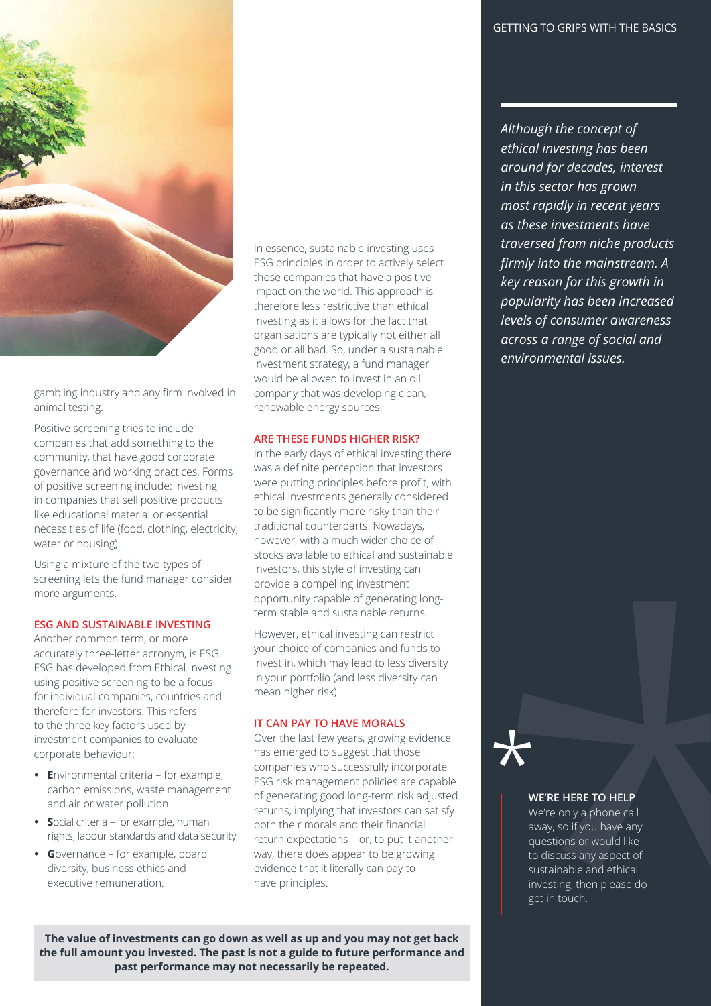

gambling industry and any firm involved in animal testing.

Positive screening tries to include companies that add something to the community, that have good corporate governance and working practices. Forms of positive screening include: investing in companies that sell positive products like educational material or essential necessities of life (food, clothing, electricity, water or housing).

Using a mixture of the two types of screening lets the fund manager consider more arguments.

# **ESG AND SUSTAINABLE INVESTING**

Another common term, or more accurately three-letter acronym, is ESG. ESG has developed from Ethical Investing using positive screening to be a focus for individual companies, countries and therefore for investors. This refers to the three key factors used by investment companies to evaluate corporate behaviour:

- **E**nvironmental criteria for example, carbon emissions, waste management and air or water pollution
- **S**ocial criteria for example, human rights, labour standards and data security
- **G**overnance for example, board diversity, business ethics and executive remuneration.

In essence, sustainable investing uses ESG principles in order to actively select those companies that have a positive impact on the world. This approach is therefore less restrictive than ethical investing as it allows for the fact that organisations are typically not either all good or all bad. So, under a sustainable investment strategy, a fund manager would be allowed to invest in an oil company that was developing clean, renewable energy sources.

# **ARE THESE FUNDS HIGHER RISK?**

In the early days of ethical investing there was a definite perception that investors were putting principles before profit, with ethical investments generally considered to be significantly more risky than their traditional counterparts. Nowadays, however, with a much wider choice of stocks available to ethical and sustainable investors, this style of investing can provide a compelling investment opportunity capable of generating longterm stable and sustainable returns.

However, ethical investing can restrict your choice of companies and funds to invest in, which may lead to less diversity in your portfolio (and less diversity can mean higher risk).

#### **IT CAN PAY TO HAVE MORALS**

Over the last few years, growing evidence has emerged to suggest that those companies who successfully incorporate ESG risk management policies are capable of generating good long-term risk adjusted returns, implying that investors can satisfy both their morals and their financial return expectations – or, to put it another way, there does appear to be growing evidence that it literally can pay to have principles.

**The value of investments can go down as well as up and you may not get back the full amount you invested. The past is not a guide to future performance and past performance may not necessarily be repeated.**

*Although the concept of ethical investing has been around for decades, interest in this sector has grown most rapidly in recent years as these investments have traversed from niche products fi rmly into the mainstream. A key reason for this growth in popularity has been increased levels of consumer awareness across a range of social and environmental issues.*

# **WE'RE HERE TO HELP**

We're only a phone call away, so if you have any questions or would like to discuss any aspect of sustainable and ethical investing, then please do get in touch.